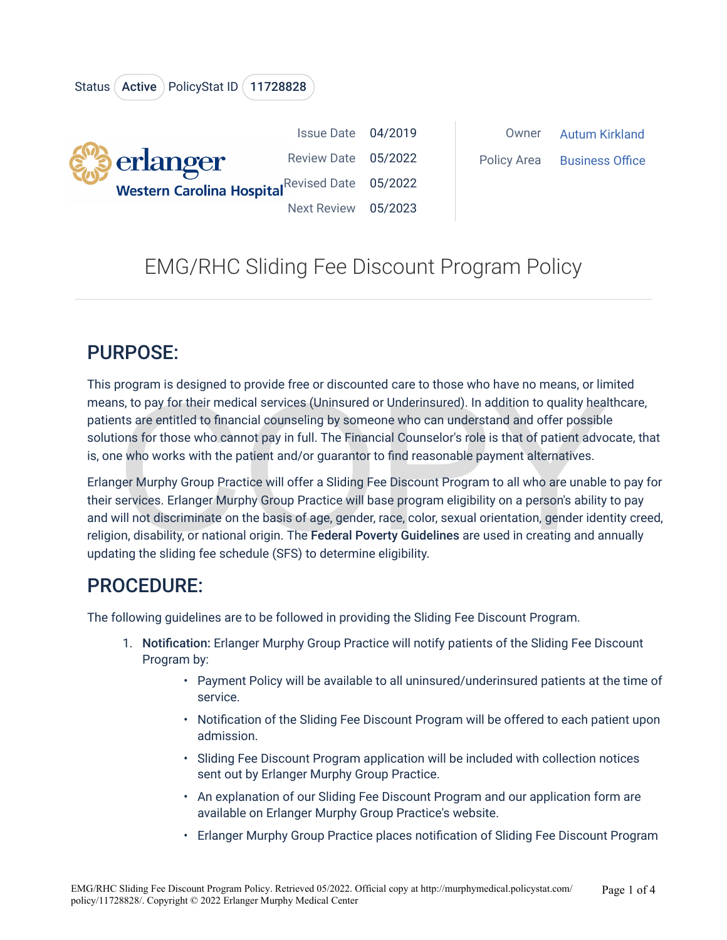

## EMG/RHC Sliding Fee Discount Program Policy

## PURPOSE:

This program is designed to provide free or discounted care to those who have no means, or limited means, to pay for their medical services (Uninsured or Underinsured). In addition to quality healthcare, patients are entitled to financial counseling by someone who can understand and offer possible solutions for those who cannot pay in full. The Financial Counselor's role is that of patient advocate, that is, one who works with the patient and/or guarantor to find reasonable payment alternatives.

is, to pay for their medical services (Uninsured or Underinsured). In addition to quality healts are entitled to financial counseling by someone who can understand and offer possible ons for those who cannot pay in full. T Erlanger Murphy Group Practice will offer a Sliding Fee Discount Program to all who are unable to pay for their services. Erlanger Murphy Group Practice will base program eligibility on a person's ability to pay and will not discriminate on the basis of age, gender, race, color, sexual orientation, gender identity creed, religion, disability, or national origin. The Federal Poverty Guidelines are used in creating and annually updating the sliding fee schedule (SFS) to determine eligibility.

## PROCEDURE:

The following guidelines are to be followed in providing the Sliding Fee Discount Program.

- 1. Notification: Erlanger Murphy Group Practice will notify patients of the Sliding Fee Discount Program by:
	- Payment Policy will be available to all uninsured/underinsured patients at the time of service.
	- Notification of the Sliding Fee Discount Program will be offered to each patient upon admission.
	- Sliding Fee Discount Program application will be included with collection notices sent out by Erlanger Murphy Group Practice.
	- An explanation of our Sliding Fee Discount Program and our application form are available on Erlanger Murphy Group Practice's website.
	- Erlanger Murphy Group Practice places notification of Sliding Fee Discount Program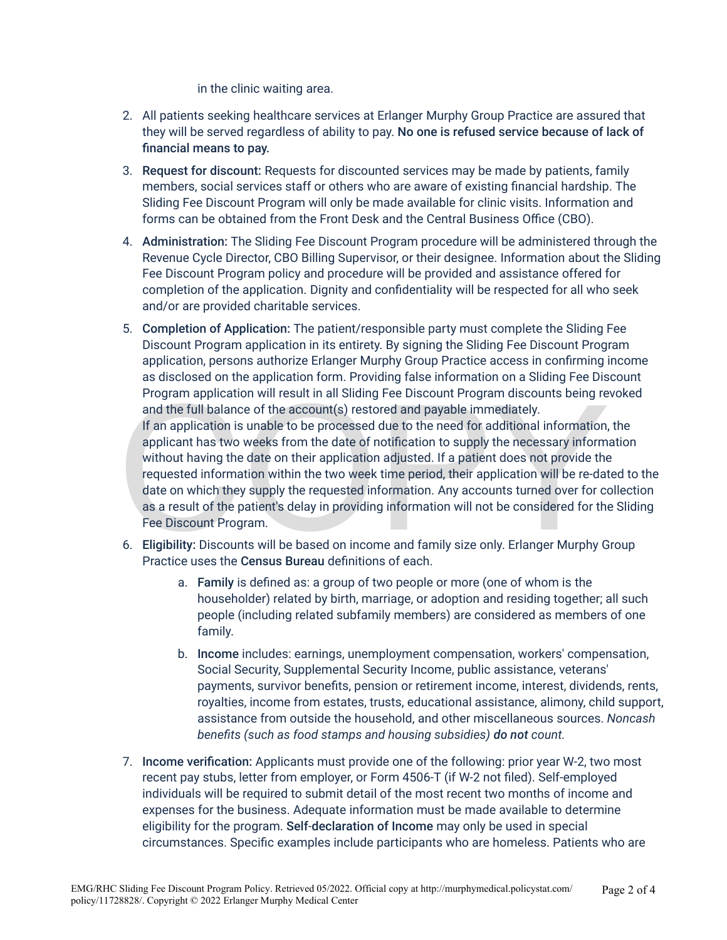in the clinic waiting area.

- 2. All patients seeking healthcare services at Erlanger Murphy Group Practice are assured that they will be served regardless of ability to pay. No one is refused service because of lack of financial means to pay.
- 3. Request for discount: Requests for discounted services may be made by patients, family members, social services staff or others who are aware of existing financial hardship. The Sliding Fee Discount Program will only be made available for clinic visits. Information and forms can be obtained from the Front Desk and the Central Business Office (CBO).
- 4. Administration: The Sliding Fee Discount Program procedure will be administered through the Revenue Cycle Director, CBO Billing Supervisor, or their designee. Information about the Sliding Fee Discount Program policy and procedure will be provided and assistance offered for completion of the application. Dignity and confidentiality will be respected for all who seek and/or are provided charitable services.
- Program application will result in all Sliding Fee Discount Program discounts being re<br>and the full balance of the account(s) restored and payable immediately.<br>If an application is unable to be processed due to the need fo 5. Completion of Application: The patient/responsible party must complete the Sliding Fee Discount Program application in its entirety. By signing the Sliding Fee Discount Program application, persons authorize Erlanger Murphy Group Practice access in confirming income as disclosed on the application form. Providing false information on a Sliding Fee Discount Program application will result in all Sliding Fee Discount Program discounts being revoked and the full balance of the account(s) restored and payable immediately. If an application is unable to be processed due to the need for additional information, the applicant has two weeks from the date of notification to supply the necessary information without having the date on their application adjusted. If a patient does not provide the requested information within the two week time period, their application will be re-dated to the date on which they supply the requested information. Any accounts turned over for collection as a result of the patient's delay in providing information will not be considered for the Sliding Fee Discount Program.
- 6. Eligibility: Discounts will be based on income and family size only. Erlanger Murphy Group Practice uses the Census Bureau definitions of each.
	- a. Family is defined as: a group of two people or more (one of whom is the householder) related by birth, marriage, or adoption and residing together; all such people (including related subfamily members) are considered as members of one family.
	- b. Income includes: earnings, unemployment compensation, workers' compensation, Social Security, Supplemental Security Income, public assistance, veterans' payments, survivor benefits, pension or retirement income, interest, dividends, rents, royalties, income from estates, trusts, educational assistance, alimony, child support, assistance from outside the household, and other miscellaneous sources. *Noncash benefits (such as food stamps and housing subsidies) do not count.*
- 7. Income verification: Applicants must provide one of the following: prior year W-2, two most recent pay stubs, letter from employer, or Form 4506-T (if W-2 not filed). Self-employed individuals will be required to submit detail of the most recent two months of income and expenses for the business. Adequate information must be made available to determine eligibility for the program. Self-declaration of Income may only be used in special circumstances. Specific examples include participants who are homeless. Patients who are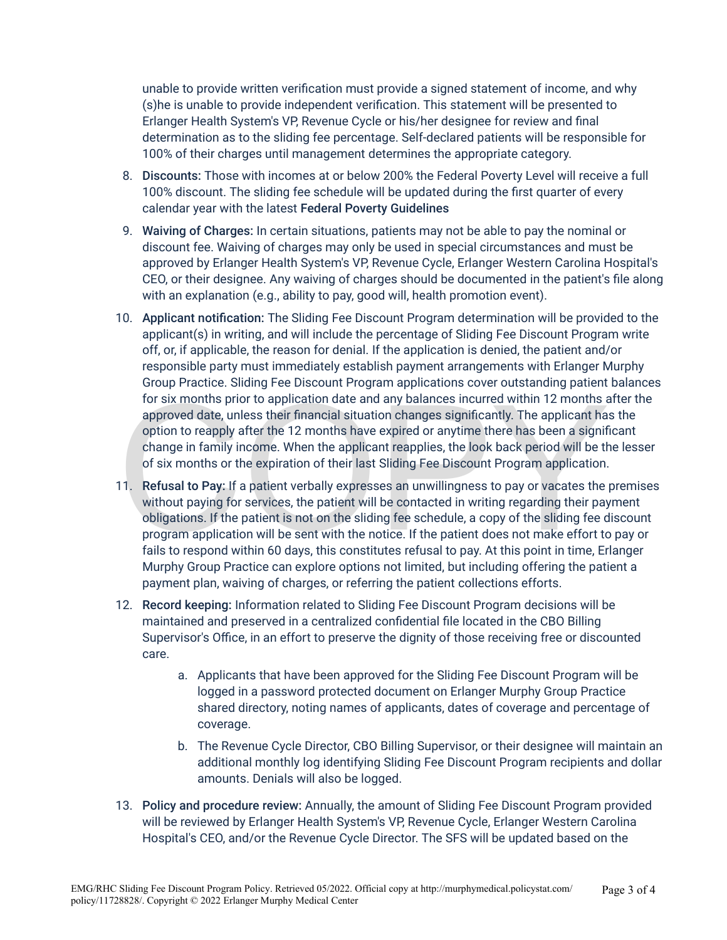unable to provide written verification must provide a signed statement of income, and why (s)he is unable to provide independent verification. This statement will be presented to Erlanger Health System's VP, Revenue Cycle or his/her designee for review and final determination as to the sliding fee percentage. Self-declared patients will be responsible for 100% of their charges until management determines the appropriate category.

- 8. Discounts: Those with incomes at or below 200% the Federal Poverty Level will receive a full 100% discount. The sliding fee schedule will be updated during the first quarter of every calendar year with the latest Federal Poverty Guidelines
- 9. Waiving of Charges: In certain situations, patients may not be able to pay the nominal or discount fee. Waiving of charges may only be used in special circumstances and must be approved by Erlanger Health System's VP, Revenue Cycle, Erlanger Western Carolina Hospital's CEO, or their designee. Any waiving of charges should be documented in the patient's file along with an explanation (e.g., ability to pay, good will, health promotion event).
- 10. Applicant notification: The Sliding Fee Discount Program determination will be provided to the applicant(s) in writing, and will include the percentage of Sliding Fee Discount Program write off, or, if applicable, the reason for denial. If the application is denied, the patient and/or responsible party must immediately establish payment arrangements with Erlanger Murphy Group Practice. Sliding Fee Discount Program applications cover outstanding patient balances for six months prior to application date and any balances incurred within 12 months after the approved date, unless their financial situation changes significantly. The applicant has the option to reapply after the 12 months have expired or anytime there has been a significant change in family income. When the applicant reapplies, the look back period will be the lesser of six months or the expiration of their last Sliding Fee Discount Program application.
- for six months prior to application date and any balances incurred within 12 months approved date, unless their financial situation changes significantly. The applicant has option to reapply after the 12 months have expire 11. Refusal to Pay: If a patient verbally expresses an unwillingness to pay or vacates the premises without paying for services, the patient will be contacted in writing regarding their payment obligations. If the patient is not on the sliding fee schedule, a copy of the sliding fee discount program application will be sent with the notice. If the patient does not make effort to pay or fails to respond within 60 days, this constitutes refusal to pay. At this point in time, Erlanger Murphy Group Practice can explore options not limited, but including offering the patient a payment plan, waiving of charges, or referring the patient collections efforts.
- 12. Record keeping: Information related to Sliding Fee Discount Program decisions will be maintained and preserved in a centralized confidential file located in the CBO Billing Supervisor's Office, in an effort to preserve the dignity of those receiving free or discounted care.
	- a. Applicants that have been approved for the Sliding Fee Discount Program will be logged in a password protected document on Erlanger Murphy Group Practice shared directory, noting names of applicants, dates of coverage and percentage of coverage.
	- b. The Revenue Cycle Director, CBO Billing Supervisor, or their designee will maintain an additional monthly log identifying Sliding Fee Discount Program recipients and dollar amounts. Denials will also be logged.
- 13. Policy and procedure review: Annually, the amount of Sliding Fee Discount Program provided will be reviewed by Erlanger Health System's VP, Revenue Cycle, Erlanger Western Carolina Hospital's CEO, and/or the Revenue Cycle Director. The SFS will be updated based on the